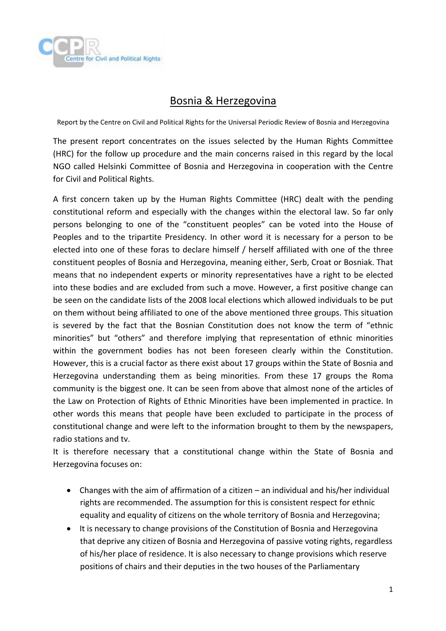

## Bosnia & Herzegovina

Report by the Centre on Civil and Political Rights for the Universal Periodic Review of Bosnia and Herzegovina

The present report concentrates on the issues selected by the Human Rights Committee (HRC) for the follow up procedure and the main concerns raised in this regard by the local NGO called Helsinki Committee of Bosnia and Herzegovina in cooperation with the Centre for Civil and Political Rights.

A first concern taken up by the Human Rights Committee (HRC) dealt with the pending constitutional reform and especially with the changes within the electoral law. So far only persons belonging to one of the "constituent peoples" can be voted into the House of Peoples and to the tripartite Presidency. In other word it is necessary for a person to be elected into one of these foras to declare himself / herself affiliated with one of the three constituent peoples of Bosnia and Herzegovina, meaning either, Serb, Croat or Bosniak. That means that no independent experts or minority representatives have a right to be elected into these bodies and are excluded from such a move. However, a first positive change can be seen on the candidate lists of the 2008 local elections which allowed individuals to be put on them without being affiliated to one of the above mentioned three groups. This situation is severed by the fact that the Bosnian Constitution does not know the term of "ethnic minorities" but "others" and therefore implying that representation of ethnic minorities within the government bodies has not been foreseen clearly within the Constitution. However, this is a crucial factor as there exist about 17 groups within the State of Bosnia and Herzegovina understanding them as being minorities. From these 17 groups the Roma community is the biggest one. It can be seen from above that almost none of the articles of the Law on Protection of Rights of Ethnic Minorities have been implemented in practice. In other words this means that people have been excluded to participate in the process of constitutional change and were left to the information brought to them by the newspapers, radio stations and tv.

It is therefore necessary that a constitutional change within the State of Bosnia and Herzegovina focuses on:

- Changes with the aim of affirmation of a citizen an individual and his/her individual rights are recommended. The assumption for this is consistent respect for ethnic equality and equality of citizens on the whole territory of Bosnia and Herzegovina;
- It is necessary to change provisions of the Constitution of Bosnia and Herzegovina that deprive any citizen of Bosnia and Herzegovina of passive voting rights, regardless of his/her place of residence. It is also necessary to change provisions which reserve positions of chairs and their deputies in the two houses of the Parliamentary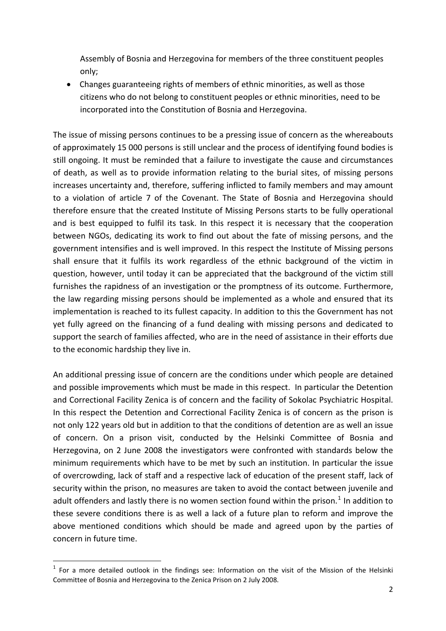Assembly of Bosnia and Herzegovina for members of the three constituent peoples only;

• Changes guaranteeing rights of members of ethnic minorities, as well as those citizens who do not belong to constituent peoples or ethnic minorities, need to be incorporated into the Constitution of Bosnia and Herzegovina.

The issue of missing persons continues to be a pressing issue of concern as the whereabouts of approximately 15 000 persons is still unclear and the process of identifying found bodies is still ongoing. It must be reminded that a failure to investigate the cause and circumstances of death, as well as to provide information relating to the burial sites, of missing persons increases uncertainty and, therefore, suffering inflicted to family members and may amount to a violation of article 7 of the Covenant. The State of Bosnia and Herzegovina should therefore ensure that the created Institute of Missing Persons starts to be fully operational and is best equipped to fulfil its task. In this respect it is necessary that the cooperation between NGOs, dedicating its work to find out about the fate of missing persons, and the government intensifies and is well improved. In this respect the Institute of Missing persons shall ensure that it fulfils its work regardless of the ethnic background of the victim in question, however, until today it can be appreciated that the background of the victim still furnishes the rapidness of an investigation or the promptness of its outcome. Furthermore, the law regarding missing persons should be implemented as a whole and ensured that its implementation is reached to its fullest capacity. In addition to this the Government has not yet fully agreed on the financing of a fund dealing with missing persons and dedicated to support the search of families affected, who are in the need of assistance in their efforts due to the economic hardship they live in.

An additional pressing issue of concern are the conditions under which people are detained and possible improvements which must be made in this respect. In particular the Detention and Correctional Facility Zenica is of concern and the facility of Sokolac Psychiatric Hospital. In this respect the Detention and Correctional Facility Zenica is of concern as the prison is not only 122 years old but in addition to that the conditions of detention are as well an issue of concern. On a prison visit, conducted by the Helsinki Committee of Bosnia and Herzegovina, on 2 June 2008 the investigators were confronted with standards below the minimum requirements which have to be met by such an institution. In particular the issue of overcrowding, lack of staff and a respective lack of education of the present staff, lack of security within the prison, no measures are taken to avoid the contact between juvenile and adult offenders and lastly there is no women section found within the prison.<sup>[1](#page-1-0)</sup> In addition to these severe conditions there is as well a lack of a future plan to reform and improve the above mentioned conditions which should be made and agreed upon by the parties of concern in future time.

<span id="page-1-0"></span> $1$  For a more detailed outlook in the findings see: Information on the visit of the Mission of the Helsinki Committee of Bosnia and Herzegovina to the Zenica Prison on 2 July 2008.